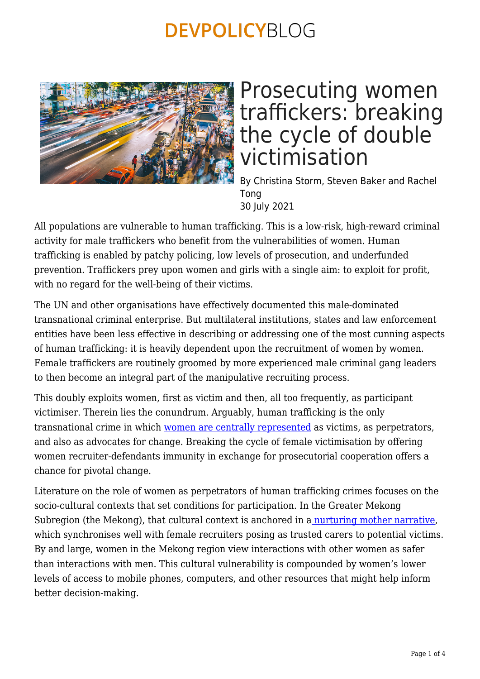

## Prosecuting women traffickers: breaking the cycle of double victimisation

By Christina Storm, Steven Baker and Rachel Tong 30 July 2021

All populations are vulnerable to human trafficking. This is a low-risk, high-reward criminal activity for male traffickers who benefit from the vulnerabilities of women. Human trafficking is enabled by patchy policing, low levels of prosecution, and underfunded prevention. Traffickers prey upon women and girls with a single aim: to exploit for profit, with no regard for the well-being of their victims.

The UN and other organisations have effectively documented this male-dominated transnational criminal enterprise. But multilateral institutions, states and law enforcement entities have been less effective in describing or addressing one of the most cunning aspects of human trafficking: it is heavily dependent upon the recruitment of women by women. Female traffickers are routinely groomed by more experienced male criminal gang leaders to then become an integral part of the manipulative recruiting process.

This doubly exploits women, first as victim and then, all too frequently, as participant victimiser. Therein lies the conundrum. Arguably, human trafficking is the only transnational crime in which [women are centrally represented](https://opendocs.ids.ac.uk/opendocs/bitstream/handle/20.500.12413/16554/984_Gender_and_Serious_Organised_Crime.pdf?sequence=1) as victims, as perpetrators, and also as advocates for change. Breaking the cycle of female victimisation by offering women recruiter-defendants immunity in exchange for prosecutorial cooperation offers a chance for pivotal change.

Literature on the role of women as perpetrators of human trafficking crimes focuses on the socio-cultural contexts that set conditions for participation. In the Greater Mekong Subregion (the Mekong), that cultural context is anchored in a [nurturing mother narrative,](https://www.researchgate.net/publication/324979631_Female_Perpetrators_of_Human_Trafficking_Overlooked_in_the_United_Nations) which synchronises well with female recruiters posing as trusted carers to potential victims. By and large, women in the Mekong region view interactions with other women as safer than interactions with men. This cultural vulnerability is compounded by women's lower levels of access to mobile phones, computers, and other resources that might help inform better decision-making.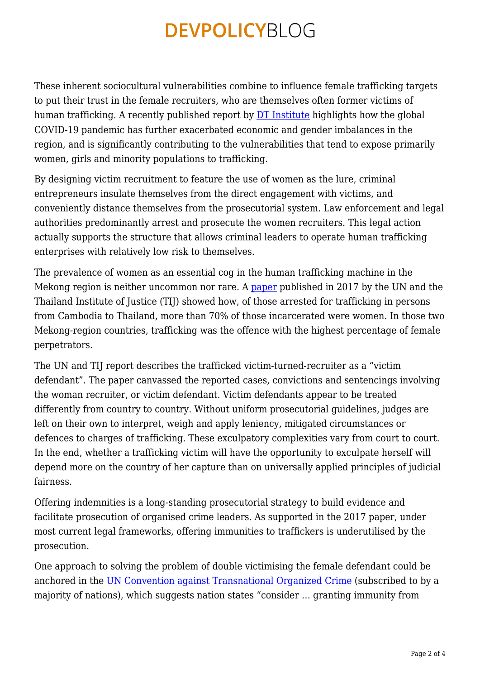These inherent sociocultural vulnerabilities combine to influence female trafficking targets to put their trust in the female recruiters, who are themselves often former victims of human trafficking. A recently published report by [DT Institute](https://www.dt-institute.org/dt-institute-and-dt-global-release-report-entitled-pandemic-impact-on-human-trafficking-in-the-greater-mekong-subregion/) highlights how the global COVID-19 pandemic has further exacerbated economic and gender imbalances in the region, and is significantly contributing to the vulnerabilities that tend to expose primarily women, girls and minority populations to trafficking.

By designing victim recruitment to feature the use of women as the lure, criminal entrepreneurs insulate themselves from the direct engagement with victims, and conveniently distance themselves from the prosecutorial system. Law enforcement and legal authorities predominantly arrest and prosecute the women recruiters. This legal action actually supports the structure that allows criminal leaders to operate human trafficking enterprises with relatively low risk to themselves.

The prevalence of women as an essential cog in the human trafficking machine in the Mekong region is neither uncommon nor rare. A [paper](https://www.unodc.org/documents/southeastasiaandpacific/download/2017/TiP_to_Thailand_20_Oct_2017.pdf) published in 2017 by the UN and the Thailand Institute of Justice (TIJ) showed how, of those arrested for trafficking in persons from Cambodia to Thailand, more than 70% of those incarcerated were women. In those two Mekong-region countries, trafficking was the offence with the highest percentage of female perpetrators.

The UN and TIJ report describes the trafficked victim-turned-recruiter as a "victim defendant". The paper canvassed the reported cases, convictions and sentencings involving the woman recruiter, or victim defendant. Victim defendants appear to be treated differently from country to country. Without uniform prosecutorial guidelines, judges are left on their own to interpret, weigh and apply leniency, mitigated circumstances or defences to charges of trafficking. These exculpatory complexities vary from court to court. In the end, whether a trafficking victim will have the opportunity to exculpate herself will depend more on the country of her capture than on universally applied principles of judicial fairness.

Offering indemnities is a long-standing prosecutorial strategy to build evidence and facilitate prosecution of organised crime leaders. As supported in the 2017 paper, under most current legal frameworks, offering immunities to traffickers is underutilised by the prosecution.

One approach to solving the problem of double victimising the female defendant could be anchored in the [UN Convention against Transnational Organized Crime](https://www.unodc.org/unodc/en/organized-crime/intro/UNTOC.html) (subscribed to by a majority of nations), which suggests nation states "consider ... granting immunity from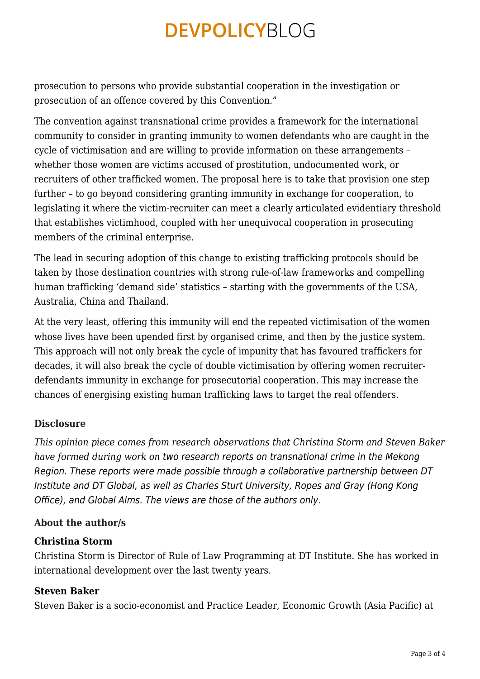prosecution to persons who provide substantial cooperation in the investigation or prosecution of an offence covered by this Convention."

The convention against transnational crime provides a framework for the international community to consider in granting immunity to women defendants who are caught in the cycle of victimisation and are willing to provide information on these arrangements – whether those women are victims accused of prostitution, undocumented work, or recruiters of other trafficked women. The proposal here is to take that provision one step further – to go beyond considering granting immunity in exchange for cooperation, to legislating it where the victim-recruiter can meet a clearly articulated evidentiary threshold that establishes victimhood, coupled with her unequivocal cooperation in prosecuting members of the criminal enterprise.

The lead in securing adoption of this change to existing trafficking protocols should be taken by those destination countries with strong rule-of-law frameworks and compelling human trafficking 'demand side' statistics – starting with the governments of the USA, Australia, China and Thailand.

At the very least, offering this immunity will end the repeated victimisation of the women whose lives have been upended first by organised crime, and then by the justice system. This approach will not only break the cycle of impunity that has favoured traffickers for decades, it will also break the cycle of double victimisation by offering women recruiterdefendants immunity in exchange for prosecutorial cooperation. This may increase the chances of energising existing human trafficking laws to target the real offenders.

### **Disclosure**

*This opinion piece comes from research observations that Christina Storm and Steven Baker have formed during work on* two research reports on transnational crime in the Mekong Region. These reports were made possible through a collaborative partnership between DT Institute and DT Global, as well as Charles Sturt University, Ropes and Gray (Hong Kong Office), and Global Alms. The views are those of the authors only.

#### **About the author/s**

#### **Christina Storm**

Christina Storm is Director of Rule of Law Programming at DT Institute. She has worked in international development over the last twenty years.

#### **Steven Baker**

Steven Baker is a socio-economist and Practice Leader, Economic Growth (Asia Pacific) at